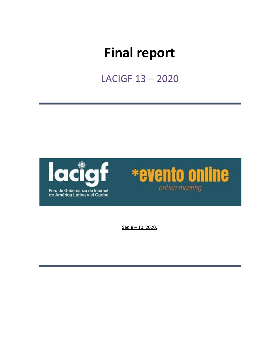# **Final report**

LACIGF 13 – 2020





Sep 8 – 10, 2020.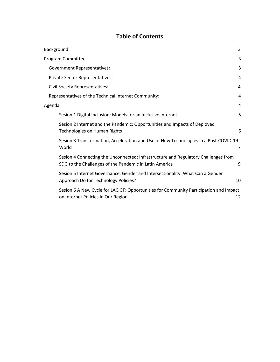| Background                                                                                                                                   | 3  |
|----------------------------------------------------------------------------------------------------------------------------------------------|----|
| Program Committee                                                                                                                            | 3  |
| <b>Government Representatives:</b>                                                                                                           | 3  |
| Private Sector Representatives:                                                                                                              | 4  |
| Civil Society Representatives:                                                                                                               | 4  |
| Representatives of the Technical Internet Community:                                                                                         | 4  |
| Agenda                                                                                                                                       | 4  |
| Sesion 1 Digital Inclusion: Models for an Inclusive Internet                                                                                 | 5  |
| Sesion 2 Internet and the Pandemic: Opportunities and Impacts of Deployed<br>Technologies on Human Rights                                    | 6  |
| Sesion 3 Transformation, Acceleration and Use of New Technologies in a Post-COVID-19<br>World                                                | 7  |
| Sesion 4 Connecting the Unconnected: Infrastructure and Regulatory Challenges from<br>SDG to the Challenges of the Pandemic in Latin America | 9  |
| Sesion 5 Internet Governance, Gender and Intersectionality: What Can a Gender<br>Approach Do for Technology Policies?                        | 10 |
| Sesion 6 A New Cycle for LACIGF: Opportunities for Community Participation and Impact<br>on Internet Policies in Our Region                  | 12 |

## **Table of Contents**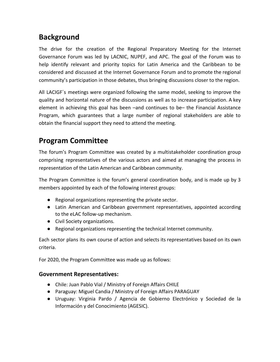# <span id="page-2-0"></span>**Background**

The drive for the creation of the Regional Preparatory Meeting for the Internet Governance Forum was led by LACNIC, NUPEF, and APC. The goal of the Forum was to help identify relevant and priority topics for Latin America and the Caribbean to be considered and discussed at the Internet Governance Forum and to promote the regional community's participation in those debates, thus bringing discussions closer to the region.

All LACIGF´s meetings were organized following the same model, seeking to improve the quality and horizontal nature of the discussions as well as to increase participation. A key element in achieving this goal has been –and continues to be– the Financial Assistance Program, which guarantees that a large number of regional stakeholders are able to obtain the financial support they need to attend the meeting.

# <span id="page-2-1"></span>**Program Committee**

The forum's Program Committee was created by a multistakeholder coordination group comprising representatives of the various actors and aimed at managing the process in representation of the Latin American and Caribbean community.

The Program Committee is the forum's general coordination body, and is made up by 3 members appointed by each of the following interest groups:

- Regional organizations representing the private sector.
- Latin American and Caribbean government representatives, appointed according to the eLAC follow-up mechanism.
- Civil Society organizations.
- Regional organizations representing the technical Internet community.

Each sector plans its own course of action and selects its representatives based on its own criteria.

For 2020, the Program Committee was made up as follows:

## <span id="page-2-2"></span>**Government Representatives:**

- Chile: Juan Pablo Vial / Ministry of Foreign Affairs CHILE
- Paraguay: Miguel Candia / Ministry of Foreign Affairs PARAGUAY
- Uruguay: Virginia Pardo / Agencia de Gobierno Electrónico y Sociedad de la Información y del Conocimiento (AGESIC).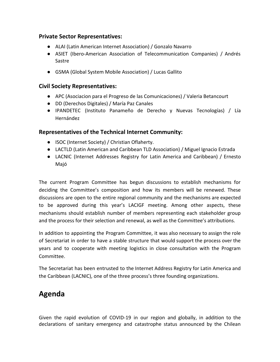#### <span id="page-3-0"></span>**Private Sector Representatives:**

- ALAI (Latin American Internet Association) / Gonzalo Navarro
- ASIET (Ibero-American Association of Telecommunication Companies) / Andrés Sastre
- GSMA (Global System Mobile Association) / Lucas Gallito

### <span id="page-3-1"></span>**Civil Society Representatives:**

- APC (Asociacion para el Progreso de las Comunicaciones) / Valeria Betancourt
- DD (Derechos Digitales) / María Paz Canales
- IPANDETEC (Instituto Panameño de Derecho y Nuevas Tecnologías) / Lía Hernández

#### <span id="page-3-2"></span>**Representatives of the Technical Internet Community:**

- ISOC (Internet Society) / Christian Oflaherty.
- LACTLD (Latin American and Caribbean TLD Association) / Miguel Ignacio Estrada
- LACNIC (Internet Addresses Registry for Latin America and Caribbean) / Ernesto Majó

The current Program Committee has begun discussions to establish mechanisms for deciding the Committee's composition and how its members will be renewed. These discussions are open to the entire regional community and the mechanisms are expected to be approved during this year's LACIGF meeting. Among other aspects, these mechanisms should establish number of members representing each stakeholder group and the process for their selection and renewal, as well as the Committee's attributions.

In addition to appointing the Program Committee, it was also necessary to assign the role of Secretariat in order to have a stable structure that would support the process over the years and to cooperate with meeting logistics in close consultation with the Program Committee.

The Secretariat has been entrusted to the Internet Address Registry for Latin America and the Caribbean (LACNIC), one of the three process's three founding organizations.

# <span id="page-3-3"></span>**Agenda**

Given the rapid evolution of COVID-19 in our region and globally, in addition to the declarations of sanitary emergency and catastrophe status announced by the Chilean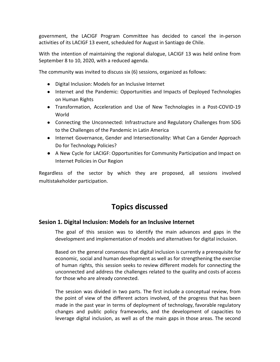government, the LACIGF Program Committee has decided to cancel the in-person activities of its LACIGF 13 event, scheduled for August in Santiago de Chile.

With the intention of maintaining the regional dialogue, LACIGF 13 was held online from September 8 to 10, 2020, with a reduced agenda.

The community was invited to discuss six (6) sessions, organized as follows:

- Digital Inclusion: Models for an Inclusive Internet
- Internet and the Pandemic: Opportunities and Impacts of Deployed Technologies on Human Rights
- Transformation, Acceleration and Use of New Technologies in a Post-COVID-19 World
- Connecting the Unconnected: Infrastructure and Regulatory Challenges from SDG to the Challenges of the Pandemic in Latin America
- Internet Governance, Gender and Intersectionality: What Can a Gender Approach Do for Technology Policies?
- A New Cycle for LACIGF: Opportunities for Community Participation and Impact on Internet Policies in Our Region

Regardless of the sector by which they are proposed, all sessions involved multistakeholder participation.

# **Topics discussed**

#### <span id="page-4-0"></span>**Sesion 1. Digital Inclusion: Models for an Inclusive Internet**

The goal of this session was to identify the main advances and gaps in the development and implementation of models and alternatives for digital inclusion.

Based on the general consensus that digital inclusion is currently a prerequisite for economic, social and human development as well as for strengthening the exercise of human rights, this session seeks to review different models for connecting the unconnected and address the challenges related to the quality and costs of access for those who are already connected.

The session was divided in two parts. The first include a conceptual review, from the point of view of the different actors involved, of the progress that has been made in the past year in terms of deployment of technology, favorable regulatory changes and public policy frameworks, and the development of capacities to leverage digital inclusion, as well as of the main gaps in those areas. The second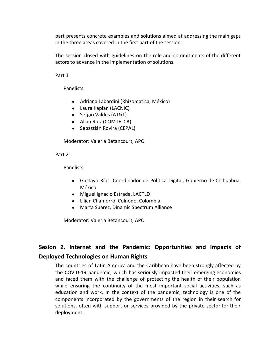part presents concrete examples and solutions aimed at addressing the main gaps in the three areas covered in the first part of the session.

The session closed with guidelines on the role and commitments of the different actors to advance in the implementation of solutions.

Part 1

Panelists:

- Adriana Labardini (Rhizomatica, México)
- Laura Kaplan (LACNIC)
- Sergio Valdes (AT&T)
- Allan Ruiz (COMTELCA)
- Sebastián Rovira (CEPAL)

Moderator: Valeria Betancourt, APC

Part 2

Panelists:

- Gustavo Ríos, Coordinador de Política Digital, Gobierno de Chihuahua, México
- Miguel Ignacio Estrada, LACTLD
- Lilian Chamorro, Colnodo, Colombia
- Marta Suárez, Dinamic Spectrum Alliance

Moderator: Valeria Betancourt, APC

## <span id="page-5-0"></span>**Sesion 2. Internet and the Pandemic: Opportunities and Impacts of Deployed Technologies on Human Rights**

The countries of Latin America and the Caribbean have been strongly affected by the COVID-19 pandemic, which has seriously impacted their emerging economies and faced them with the challenge of protecting the health of their population while ensuring the continuity of the most important social activities, such as education and work. In the context of the pandemic, technology is one of the components incorporated by the governments of the region in their search for solutions, often with support or services provided by the private sector for their deployment.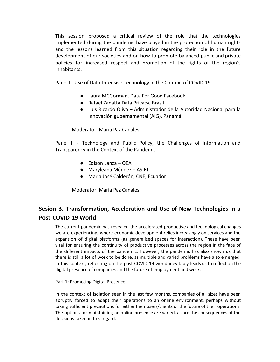This session proposed a critical review of the role that the technologies implemented during the pandemic have played in the protection of human rights and the lessons learned from this situation regarding their role in the future development of our societies and on how to promote balanced public and private policies for increased respect and promotion of the rights of the region's inhabitants.

Panel I - Use of Data-Intensive Technology in the Context of COVID-19

- Laura MCGorman, Data For Good Facebook
- Rafael Zanatta Data Privacy, Brasil
- Luis Ricardo Oliva Administrador de la Autoridad Nacional para la Innovación gubernamental (AIG), Panamá

Moderator: María Paz Canales

Panel II - Technology and Public Policy, the Challenges of Information and Transparency in the Context of the Pandemic

- Edison Lanza OEA
- Maryleana Méndez ASIET
- Maria José Calderón, CNE, Ecuador

Moderator: María Paz Canales

## <span id="page-6-0"></span>**Sesion 3. Transformation, Acceleration and Use of New Technologies in a Post-COVID-19 World**

The current pandemic has revealed the accelerated productive and technological changes we are experiencing, where economic development relies increasingly on services and the expansion of digital platforms (as generalized spaces for interaction). These have been vital for ensuring the continuity of productive processes across the region in the face of the different impacts of the pandemic. However, the pandemic has also shown us that there is still a lot of work to be done, as multiple and varied problems have also emerged. In this context, reflecting on the post-COVID-19 world inevitably leads us to reflect on the digital presence of companies and the future of employment and work.

#### Part 1: Promoting Digital Presence

In the context of isolation seen in the last few months, companies of all sizes have been abruptly forced to adapt their operations to an online environment, perhaps without taking sufficient precautions for either their users/clients or the future of their operations. The options for maintaining an online presence are varied, as are the consequences of the decisions taken in this regard.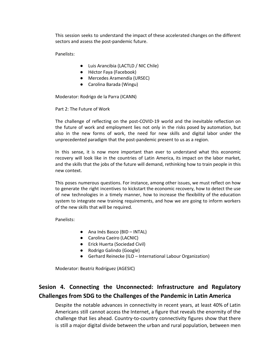This session seeks to understand the impact of these accelerated changes on the different sectors and assess the post-pandemic future.

Panelists:

- Luis Arancibia (LACTLD / NIC Chile)
- Héctor Faya (Facebook)
- Mercedes Aramendía (URSEC)
- Carolina Barada (Wingu)

Moderator: Rodrigo de la Parra (ICANN)

Part 2: The Future of Work

The challenge of reflecting on the post-COVID-19 world and the inevitable reflection on the future of work and employment lies not only in the risks posed by automation, but also in the new forms of work, the need for new skills and digital labor under the unprecedented paradigm that the post-pandemic present to us as a region.

In this sense, it is now more important than ever to understand what this economic recovery will look like in the countries of Latin America, its impact on the labor market, and the skills that the jobs of the future will demand, rethinking how to train people in this new context.

This poses numerous questions. For instance, among other issues, we must reflect on how to generate the right incentives to kickstart the economic recovery, how to detect the use of new technologies in a timely manner, how to increase the flexibility of the education system to integrate new training requirements, and how we are going to inform workers of the new skills that will be required.

Panelists:

- Ana Inés Basco (BID INTAL)
- Carolina Caeiro (LACNIC)
- Erick Huerta (Sociedad Civil)
- Rodrigo Galindo (Google)
- Gerhard Reinecke (ILO International Labour Organization)

Moderator: Beatriz Rodríguez (AGESIC)

# <span id="page-7-0"></span>**Sesion 4. Connecting the Unconnected: Infrastructure and Regulatory Challenges from SDG to the Challenges of the Pandemic in Latin America**

Despite the notable advances in connectivity in recent years, at least 40% of Latin Americans still cannot access the Internet, a figure that reveals the enormity of the challenge that lies ahead. Country-to-country connectivity figures show that there is still a major digital divide between the urban and rural population, between men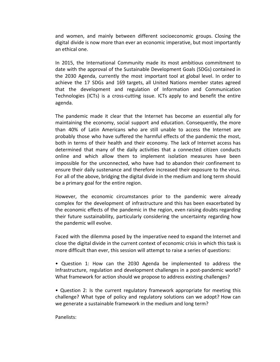and women, and mainly between different socioeconomic groups. Closing the digital divide is now more than ever an economic imperative, but most importantly an ethical one.

In 2015, the International Community made its most ambitious commitment to date with the approval of the Sustainable Development Goals (SDGs) contained in the 2030 Agenda, currently the most important tool at global level. In order to achieve the 17 SDGs and 169 targets, all United Nations member states agreed that the development and regulation of Information and Communication Technologies (ICTs) is a cross-cutting issue. ICTs apply to and benefit the entire agenda.

The pandemic made it clear that the Internet has become an essential ally for maintaining the economy, social support and education. Consequently, the more than 40% of Latin Americans who are still unable to access the Internet are probably those who have suffered the harmful effects of the pandemic the most, both in terms of their health and their economy. The lack of Internet access has determined that many of the daily activities that a connected citizen conducts online and which allow them to implement isolation measures have been impossible for the unconnected, who have had to abandon their confinement to ensure their daily sustenance and therefore increased their exposure to the virus. For all of the above, bridging the digital divide in the medium and long term should be a primary goal for the entire region.

However, the economic circumstances prior to the pandemic were already complex for the development of infrastructure and this has been exacerbated by the economic effects of the pandemic in the region, even raising doubts regarding their future sustainability, particularly considering the uncertainty regarding how the pandemic will evolve.

Faced with the dilemma posed by the imperative need to expand the Internet and close the digital divide in the current context of economic crisis in which this task is more difficult than ever, this session will attempt to raise a series of questions:

• Question 1: How can the 2030 Agenda be implemented to address the Infrastructure, regulation and development challenges in a post-pandemic world? What framework for action should we propose to address existing challenges?

• Question 2: Is the current regulatory framework appropriate for meeting this challenge? What type of policy and regulatory solutions can we adopt? How can we generate a sustainable framework in the medium and long term?

Panelists: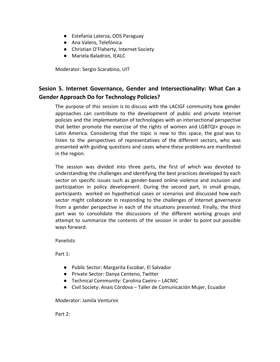- Estefanía Laterza, ODS Paraguay
- Ana Valero, Telefónica
- Christian O'Flaherty, Internet Society
- Mariela Baladron, IEALC

Moderator: Sergio Scarabino, UIT

## <span id="page-9-0"></span>**Sesion 5. Internet Governance, Gender and Intersectionality: What Can a Gender Approach Do for Technology Policies?**

The purpose of this session is to discuss with the LACIGF community how gender approaches can contribute to the development of public and private Internet policies and the implementation of technologies with an intersectional perspective that better promote the exercise of the rights of women and LGBTQI+ groups in Latin America. Considering that the topic is new to this space, the goal was to listen to the perspectives of representatives of the different sectors, who was presented with guiding questions and cases where these problems are manifested in the region.

The session was divided into three parts, the first of which was devoted to understanding the challenges and identifying the best practices developed by each sector on specific issues such as gender-based online violence and inclusion and participation in policy development. During the second part, in small groups, participants worked on hypothetical cases or scenarios and discussed how each sector might collaborate in responding to the challenges of Internet governance from a gender perspective in each of the situations presented. Finally, the third part was to consolidate the discussions of the different working groups and attempt to summarize the contents of the session in order to point out possible ways forward.

**Panelists** 

Part 1:

- Public Sector: Margarita Escobar, El Salvador
- Private Sector: Danya Centeno, Twitter
- Technical Community: Carolina Caeiro LACNIC
- Civil Society: Anais Córdova Taller de Comunicación Mujer, Ecuador

Moderator: Jamila Venturini

Part 2: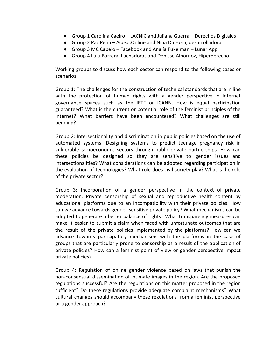- Group 1 Carolina Caeiro LACNIC and Juliana Guerra Derechos Digitales
- Group 2 Paz Peña Acoso.Online and Nina Da Hora, desarrolladora
- Group 3 MC Capelo Facebook and Analía Fukelman Lunar App
- Group 4 Lulu Barrera, Luchadoras and Denisse Albornoz, Hiperderecho

Working groups to discuss how each sector can respond to the following cases or scenarios:

Group 1: The challenges for the construction of technical standards that are in line with the protection of human rights with a gender perspective in Internet governance spaces such as the IETF or ICANN. How is equal participation guaranteed? What is the current or potential role of the feminist principles of the Internet? What barriers have been encountered? What challenges are still pending?

Group 2: Intersectionality and discrimination in public policies based on the use of automated systems. Designing systems to predict teenage pregnancy risk in vulnerable socioeconomic sectors through public-private partnerships. How can these policies be designed so they are sensitive to gender issues and intersectionalities? What considerations can be adopted regarding participation in the evaluation of technologies? What role does civil society play? What is the role of the private sector?

Group 3: Incorporation of a gender perspective in the context of private moderation. Private censorship of sexual and reproductive health content by educational platforms due to an incompatibility with their private policies. How can we advance towards gender-sensitive private policy? What mechanisms can be adopted to generate a better balance of rights? What transparency measures can make it easier to submit a claim when faced with unfortunate outcomes that are the result of the private policies implemented by the platforms? How can we advance towards participatory mechanisms with the platforms in the case of groups that are particularly prone to censorship as a result of the application of private policies? How can a feminist point of view or gender perspective impact private policies?

Group 4: Regulation of online gender violence based on laws that punish the non-consensual dissemination of intimate images in the region. Are the proposed regulations successful? Are the regulations on this matter proposed in the region sufficient? Do these regulations provide adequate complaint mechanisms? What cultural changes should accompany these regulations from a feminist perspective or a gender approach?